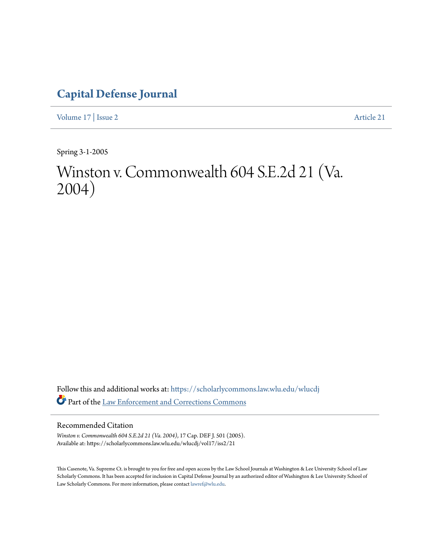## **[Capital Defense Journal](https://scholarlycommons.law.wlu.edu/wlucdj?utm_source=scholarlycommons.law.wlu.edu%2Fwlucdj%2Fvol17%2Fiss2%2F21&utm_medium=PDF&utm_campaign=PDFCoverPages)**

[Volume 17](https://scholarlycommons.law.wlu.edu/wlucdj/vol17?utm_source=scholarlycommons.law.wlu.edu%2Fwlucdj%2Fvol17%2Fiss2%2F21&utm_medium=PDF&utm_campaign=PDFCoverPages) | [Issue 2](https://scholarlycommons.law.wlu.edu/wlucdj/vol17/iss2?utm_source=scholarlycommons.law.wlu.edu%2Fwlucdj%2Fvol17%2Fiss2%2F21&utm_medium=PDF&utm_campaign=PDFCoverPages) [Article 21](https://scholarlycommons.law.wlu.edu/wlucdj/vol17/iss2/21?utm_source=scholarlycommons.law.wlu.edu%2Fwlucdj%2Fvol17%2Fiss2%2F21&utm_medium=PDF&utm_campaign=PDFCoverPages)

Spring 3-1-2005

# Winston v. Commonwealth 604 S.E.2d 21 (Va. 2004)

Follow this and additional works at: [https://scholarlycommons.law.wlu.edu/wlucdj](https://scholarlycommons.law.wlu.edu/wlucdj?utm_source=scholarlycommons.law.wlu.edu%2Fwlucdj%2Fvol17%2Fiss2%2F21&utm_medium=PDF&utm_campaign=PDFCoverPages) Part of the [Law Enforcement and Corrections Commons](http://network.bepress.com/hgg/discipline/854?utm_source=scholarlycommons.law.wlu.edu%2Fwlucdj%2Fvol17%2Fiss2%2F21&utm_medium=PDF&utm_campaign=PDFCoverPages)

#### Recommended Citation

*Winston v. Commonwealth 604 S.E.2d 21 (Va. 2004)*, 17 Cap. DEF J. 501 (2005). Available at: https://scholarlycommons.law.wlu.edu/wlucdj/vol17/iss2/21

This Casenote, Va. Supreme Ct. is brought to you for free and open access by the Law School Journals at Washington & Lee University School of Law Scholarly Commons. It has been accepted for inclusion in Capital Defense Journal by an authorized editor of Washington & Lee University School of Law Scholarly Commons. For more information, please contact [lawref@wlu.edu.](mailto:lawref@wlu.edu)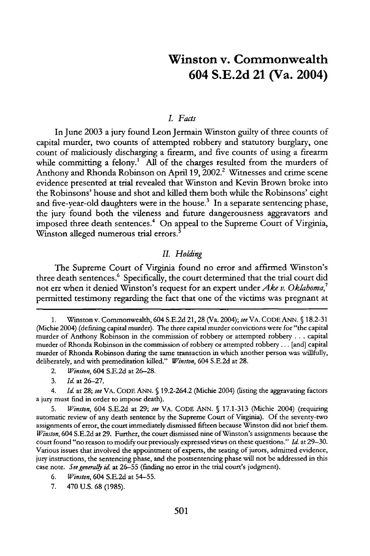### **Winston v. Commonwealth 604 S.E.2d 21 (Va. 2004)**

#### *L Facts*

In June 2003 a jury found Leon Jermain Winston guilty of three counts of capital murder, two counts of attempted robbery and statutory burglary, one count of maliciously discharging a firearm, and five counts of using a firearm while committing a felony.<sup>1</sup> All of the charges resulted from the murders of Anthony and Rhonda Robinson on April 19, 2002.<sup>2</sup> Witnesses and crime scene evidence presented at trial revealed that Winston and Kevin Brown broke into the Robinsons' house and shot and killed them both while the Robinsons' eight and five-year-old daughters were in the house.<sup>3</sup> In a separate sentencing phase, the jury found both the vileness and future dangerousness aggravators and imposed three death sentences.<sup>4</sup> On appeal to the Supreme Court of Virginia, Winston alleged numerous trial errors.<sup>5</sup>

#### *II. Holding*

The Supreme Court of Virginia found no error and affirmed Winston's three death sentences.<sup>6</sup> Specifically, the court determined that the trial court did not err when it denied Winston's request for an expert under *Ake v. Oklahoma*,<sup>7</sup> permitted testimony regarding the fact that one of the victims was pregnant at

5. *Winston,* 604 S.E.2d at 29; *see* VA. CODE ANN. **§** 17.1-313 (Michie 2004) (requiring automatic review of any death sentence **by** the Supreme Court of Virginia). Of the seventy-two assignments of error, the court immediately dismissed fifteen because Winston did not brief them. *Winston,* 604 S.E.2d at 29. Further, the court dismissed nine of Winston's assignments because the court found "no reason to modify our previously expressed views on these questions." *Id.* at 29-30. Various issues that involved the appointment of experts, the seating of jurors, admitted evidence, jury instructions, the sentencing phase, and the postsentencing phase will not be addressed in this case note. *See generally id.* at 26-55 (finding no error in the trial court's judgment).

<sup>1.</sup> Winston v. Commonwealth, 604 S.E.2d 21, 28 (Va. 2004); *see* VA. CODE ANN. **5** 18.2-31 (Michie 2004) (defining capital murder). The three capital murder convictions were for "the capital murder of Anthony Robinson in the commission of robbery or attempted robbery **...** capital murder of Rhonda Robinson in the commission of robbery or attempted robbery... [and] capital murder of Rhonda Robinson during the same transaction in which another person was willfully, deliberately, and with premeditation killed." *Winston,* 604 S.E.2d at 28.

<sup>2.</sup> *Winston,* 604 S.E.2d at 26-28.

<sup>3.</sup> *Id.* at 26-27.

<sup>4.</sup> *Id.* at 28; *see* VA. CODE ANN. **§** 19.2-264.2 (Michie 2004) (listing the aggravating factors a jury must find in order to impose death).

<sup>6.</sup> *Winston,* 604 S.E.2d at 54-55.

<sup>7. 470</sup> U.S. 68 (1985).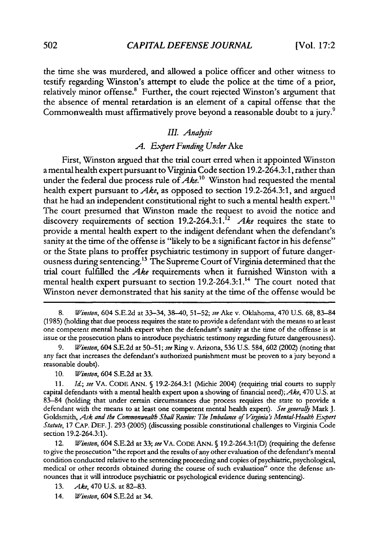the time she was murdered, and allowed a police officer and other witness to testify regarding Winston's attempt to elude the police at the time of a prior, relatively minor offense.<sup>8</sup> Further, the court rejected Winston's argument that the absence of mental retardation is an element of a capital offense that the Commonwealth must affirmatively prove beyond a reasonable doubt to a jury.<sup>9</sup>

#### *III. Analsis*

#### *A. Expert Funding Under* Ake

First, Winston argued that the trial court erred when it appointed Winston a mental health expert pursuant to Virginia Code section 19.2-264.3:1, rather than under the federal due process rule of *Ake."0* Winston had requested the mental health expert pursuant to *Ake,* as opposed to section 19.2-264.3:1, and argued that he had an independent constitutional right to such a mental health expert.<sup>11</sup> The court presumed that Winston made the request to avoid the notice and discovery requirements of section 19.2-264.3:1.<sup>12</sup> Ake requires the state to provide a mental health expert to the indigent defendant when the defendant's sanity at the time of the offense is "likely to be a significant factor in his defense" or the State plans to proffer psychiatric testimony in support of future dangerousness during sentencing.<sup>13</sup> The Supreme Court of Virginia determined that the trial court fulfilled the *Ake* requirements when it furnished Winston with a mental health expert pursuant to section 19.2-264.3:1.<sup>14</sup> The court noted that Winston never demonstrated that his sanity at the time of the offense would be

<sup>8.</sup> *Winston,* 604 S.E.2d at 33-34, 38-40, 51-52; *see* Ake v. Oklahoma, 470 U.S. **68,** 83-84 (1985) (holding that due process requires the state to provide a defendant with the means to at least one competent mental health expert when the defendant's sanity at the time of the offense is at issue or the prosecution plans to introduce psychiatric testimony regarding future dangerousness).

<sup>9.</sup> *Winston,* 604 S.E.2d at 50-51; *see* Ring v. Arizona, 536 U.S. 584, 602 (2002) (noting that any fact that increases the defendant's authorized punishment must be proven to a jury beyond a reasonable doubt).

<sup>10.</sup> *Winston,* 604 S.E.2d at 33.

<sup>11.</sup> *Id.; see* VA. CODE ANN. § 19.2-264.3:1 (Michie 2004) (requiring trial courts to supply capital defendants with a mental health expert upon a showing of financial need); *Ake,* 470 U.S. at 83-84 (holding that under certain circumstances due process requires the state to provide a defendant with the means to at least one competent mental health expert). See generally Mark J. Goldsmith, *Ask and the Commonwealth Shall Receive: The Imbalance of Viginia's Mental-Health Expert Statute,* 17 CAP. DEF.J. 293 (2005) (discussing possible constitutional challenges to Virginia Code section 19.2-264.3:1).

<sup>12.</sup> *Winston,* 604 S.E.2d at 33; *see* VA. CODE ANN. § 19.2-264.3:1(D) (requiring the defense to give the prosecution "the report and the results of any other evaluation of the defendant's mental condition conducted relative to the sentencing proceeding and copies of psychiatric, psychological, medical or other records obtained during the course of such evaluation" once the defense announces that it will introduce psychiatric or psychological evidence during sentencing).

<sup>13.</sup> *Ake,* 470 U.S. at 82-83.

<sup>14.</sup> *Winston,* 604 S.E.2d at 34.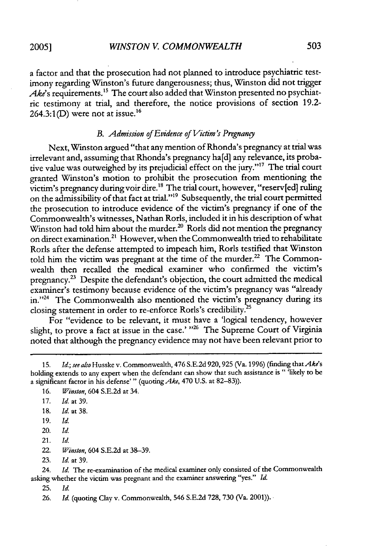**2005]**

a factor and that the prosecution had not planned to introduce psychiatric testimony regarding Winston's future dangerousness; thus, Winston did not trigger Ake's requirements.<sup>15</sup> The court also added that Winston presented no psychiatric testimony at trial, and therefore, the notice provisions of section 19.2-  $264.3:1(D)$  were not at issue.<sup>16</sup>

#### *B. Admission of Evidence of Victim's Pregnangy*

Next, Winston argued "that any mention of Rhonda's pregnancy at trial was irrelevant and, assuming that Rhonda's pregnancy ha[d] any relevance, its probative value was outweighed by its prejudicial effect on the jury."' 7 The trial court granted Winston's motion to prohibit the prosecution from mentioning the victim's pregnancy during voir dire.<sup>18</sup> The trial court, however, "reserv[ed] ruling on the admissibility of that fact at trial."<sup>19</sup> Subsequently, the trial court permitted the prosecution to introduce evidence of the victim's pregnancy if one of the Commonwealth's witnesses, Nathan Rorls, included it in his description of what Winston had told him about the murder.<sup>20</sup> Rorls did not mention the pregnancy on direct examination.<sup>21</sup> However, when the Commonwealth tried to rehabilitate Rorls after the defense attempted to impeach him, Rorls testified that Winston told him the victim was pregnant at the time of the murder.<sup>22</sup> The Commonwealth then recalled the medical examiner who confirmed the victim's pregnancy.<sup>23</sup> Despite the defendant's objection, the court admitted the medical examiner's testimony because evidence of the victim's pregnancy was "already in."<sup>24</sup> The Commonwealth also mentioned the victim's pregnancy during its closing statement in order to re-enforce Rorls's credibility.

For "evidence to be relevant, it must have a 'logical tendency, however slight, to prove a fact at issue in the case.' <sup>126</sup> The Supreme Court of Virginia noted that although the pregnancy evidence may not have been relevant prior to

16. *Winston,* 604 S.E.2d at 34.

- 18. *Id.* at 38.
- 19. *Id.*
- 20. *Id.*
- 21. *Id.*

<sup>15.</sup> *Id.; see also* Husske v. Commonwealth, 476 S.E.2d 920,925 (Va. 1996) (finding *thatAke's* holding extends to any expert when the defendant can show that such assistance is " 'likely to be a significant factor in his defense'" (quoting *Ake,* 470 U.S. at 82-83)).

<sup>17.</sup> *Id.* at 39.

<sup>22.</sup> *Winston,* 604 S.E.2d at 38-39.

<sup>23.</sup> *Id.* at 39.

<sup>24.</sup> *Id.* The re-examination of the medical examiner only consisted of the Commonwealth asking whether the victim was pregnant and the examiner answering "yes." *Id.*

<sup>25.</sup> *Id.*

<sup>26.</sup> *Id.* (quoting Clay v. Commonwealth, 546 S.E.2d 728, 730 (Va. 2001)).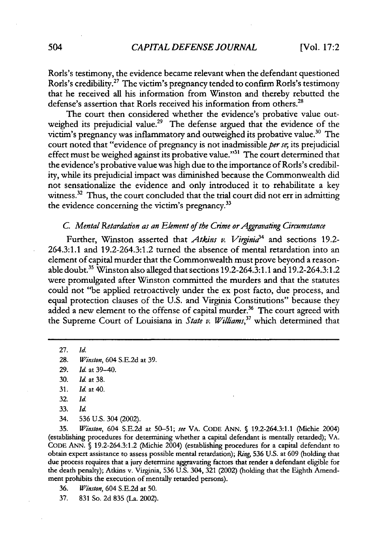Rorls's testimony, the evidence became relevant when the defendant questioned Rorls's credibility.<sup>27</sup> The victim's pregnancy tended to confirm Rorls's testimony that he received all his information from Winston and thereby rebutted the defense's assertion that Rorls received his information from others. $^{28}$ 

The court then considered whether the evidence's probative value outweighed its prejudicial value.<sup>29</sup> The defense argued that the evidence of the victim's pregnancy was inflammatory and outweighed its probative value.<sup>30</sup> The court noted that "evidence of pregnancy is not inadmissible per se, its prejudicial effect must be weighed against its probative value."<sup>31</sup> The court determined that the evidence's probative value was high due to the importance of Rorls's credibility, while its prejudicial impact was diminished because the Commonwealth did not sensationalize the evidence and only introduced it to rehabilitate a key witness. $32$  Thus, the court concluded that the trial court did not err in admitting the evidence concerning the victim's pregnancy.<sup>33</sup>

#### C. Mental Retardation as an Element of the Crime or Aggravating Circumstance

Further, Winston asserted that *Atkins v. Virginia*<sup>34</sup> and sections 19.2-264.3:1.1 and 19.2-264.3:1.2 turned the absence of mental retardation into an element of capital murder that the Commonwealth must prove beyond a reasonable doubt.<sup>35</sup> Winston also alleged that sections 19.2-264.3:1.1 and 19.2-264.3:1. were promulgated after Winston committed the murders and that the statutes could not "be applied retroactively under the ex post facto, due process, and equal protection clauses of the U.S. and Virginia Constitutions" because they added a new element to the offense of capital murder.<sup>36</sup> The court agreed with the Supreme Court of Louisiana in *State v. Williams*,<sup>37</sup> which determined that

27. *Id.*

29. *Id.* at 39-40.

34. 536 U.S. 304 (2002).

35. *Winston,* 604 S.E.2d at 50-51; *see* VA. CODE ANN. **§** 19.2-264.3:1.1 (Michie 2004) (establishing procedures for determining whether a capital defendant is mentally retarded); VA. CODE ANN. **§** 19.2-264.3:1.2 (Michie 2004) (establishing procedures for a capital defendant to obtain expert assistance to assess possible mental retardation); *Ring,* 536 U.S. at 609 (holding that due process requires that a jury determine aggravating factors that render a defendant eligible for the death penalty); Atkins v. Virginia, 536 U.S. 304, 321 (2002) (holding that the Eighth Amendment prohibits the execution of mentally retarded persons).

36. *Winston,* 604 S.E.2d at 50.

37. 831 So. 2d 835 (La. 2002).

<sup>28.</sup> *Winston,* 604 S.E.2d at 39.

<sup>30.</sup> *Id.* at 38.

<sup>31.</sup> *Id.* at 40.

<sup>32.</sup> Id.

<sup>33.</sup> Id.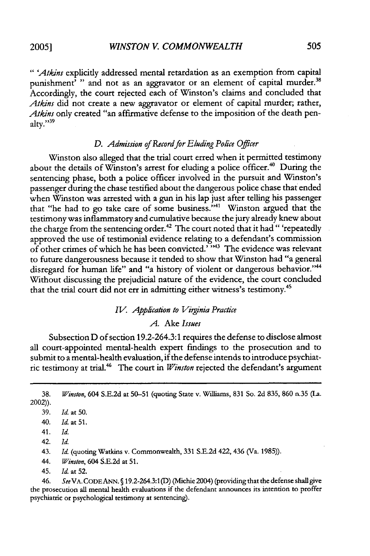*" 'Atkins* explicitly addressed mental retardation as an exemption from capital punishment<sup>'</sup> " and not as an aggravator or an element of capital murder.<sup>38</sup> Accordingly, the court rejected each of Winston's claims and concluded that *Atkins* did not create a new aggravator or element of capital murder; rather, *Atkins* only created "an affirmative defense to the imposition of the death penalty." $39$ 

#### D. Admission of Record for Eluding Police Officer

Winston also alleged that the trial court erred when it permitted testimony about the details of Winston's arrest for eluding a police officer.<sup>40</sup> During the sentencing phase, both a police officer involved in the pursuit and Winston's passenger during the chase testified about the dangerous police chase that ended when Winston was arrested with a gun in his lap just after telling his passenger that "he had to go take care of some business."<sup>41</sup> Winston argued that the testimony was inflammatory and cumulative because the jury already knew about the charge from the sentencing order.<sup>42</sup> The court noted that it had "'repeatedly approved the use of testimonial evidence relating to a defendant's commission of other crimes of which he has been convicted.' **"3** The evidence was relevant to future dangerousness because it tended to show that Winston had "a general disregard for human life" and "a history of violent or dangerous behavior."<sup>44</sup> Without discussing the prejudicial nature of the evidence, the court concluded that the trial court did not err in admitting either witness's testimony.<sup>45</sup>

#### *IV. Application to Viginia Practice*

#### *A.* Ake *Issues*

Subsection D of section 19.2-264.3:1 requires the defense to disclose almost all court-appointed mental-health expert findings to the prosecution and to submit to a mental-health evaluation, if the defense intends to introduce psychiatric testimony at trial.<sup>46</sup> The court in *Winston* rejected the defendant's argument

38. *Winston,* 604 S.E.2d at 50-51 (quoting State v. Williams, 831 So. 2d 835, **860** n.35 **(La.** 2002)).

42. *Id.*

43. *Id.* (quoting Watkins v. Commonwealth, **331** S.E.2d 422, 436 (Va. 1985)).

44. *Winston,* 604 S.E.2d at **51.**

45. *Id.* at 52.

46. *See* VA.CODEANN. **§** 19.2-264.3:1(D) (Michie 2004) (providing that the defense shall give the prosecution all mental health evaluations if the defendant announces its intention to proffer psychiatric or psychological testimony at sentencing).

**<sup>39.</sup>** *Id.* at **50.**

<sup>40.</sup> *Id.* at **51.**

<sup>41.</sup> *Id.*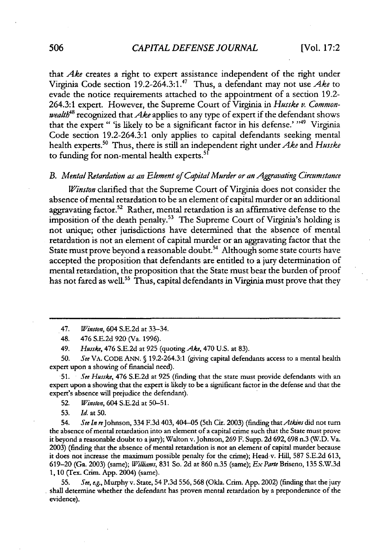that *Ake* creates a right to expert assistance independent of the right under Virginia Code section 19.2-264.3:1. 47 Thus, a defendant may not use *Ake* to evade the notice requirements attached to the appointment of a section 19.2- 264.3:1 expert. However, the Supreme Court of Virginia in *Husske v. Commonwealth48* recognized that *Ake* applies to any type of expert if the defendant shows that the expert " 'is likely to be a significant factor in his defense.' "49 Virginia Code section 19.2-264.3:1 only applies to capital defendants seeking mental health experts."0 Thus, there is still an independent right under *Ake* and *Husske* to funding for non-mental health experts.<sup>51</sup>

#### *B. Mental Retardation as an Element of Capital Murder or an Aggravating Circumstance*

*Winston* clarified that the Supreme Court of Virginia does not consider the absence of mental retardation to be an element of capital murder or an additional aggravating factor.<sup>52</sup> Rather, mental retardation is an affirmative defense to the imposition of the death penalty.<sup>53</sup> The Supreme Court of Virginia's holding is not unique; other jurisdictions have determined that the absence of mental retardation is not an element of capital murder or an aggravating factor that the State must prove beyond a reasonable doubt.<sup>54</sup> Although some state courts have accepted the proposition that defendants are entitled to a jury determination of mental retardation, the proposition that the State must bear the burden of proof has not fared as well.<sup>55</sup> Thus, capital defendants in Virginia must prove that they

50. *See* VA. CODE ANN. **§** 19.2-264.3:1 (giving capital defendants access to a mental health expert upon a showing of financial need).

**51.** *See Husske,* 476 S.E.2d at 925 (finding that the state must provide defendants with an expert upon a showing that the expert is likely to be a significant factor in the defense and that the expert's absence will prejudice the defendant).

52. *Winston,* 604 S.E.2d at 50-51.

53. *Id.* at 50.

54. *See In* reJohnson, 334 F.3d 403,404-05 (5th Cir. 2003) (finding that *Atkins* did not turn the absence of mental retardation into an element of a capital crime such that the State must prove it beyond a reasonable doubt to a jury); Walton v.Johnson, 269 F. Supp. 2d 692,698 n.3 (W.D. Va. 2003) (finding that the absence of mental retardation is not an element of capital murder because it does not increase the maximum possible penalty for the crime); Head v. Hill, 587 S.E.2d 613, 619-20 (Ga. 2003) (same); *Wiili'ams,* 831 So. 2d at 860 n.35 (same); *ExParte* Briseno, 135 S.W.3d 1, **10** (Tex. Crim. App. 2004) (same).

55. *See, e.g.,* Murphy v. State, 54 P.3d 556, 568 (Okla. Crim. App. 2002) (finding that the jury shall determine whether the defendant has proven mental retardation by a preponderance of the evidence).

<sup>47.</sup> *Winston,* 604 S.E.2d at 33-34.

<sup>48. 476</sup> S.E.2d 920 (Va. 1996).

<sup>49.</sup> *Husske,* 476 S.E.2d at 925 (quoting *Ake,* 470 U.S. at 83).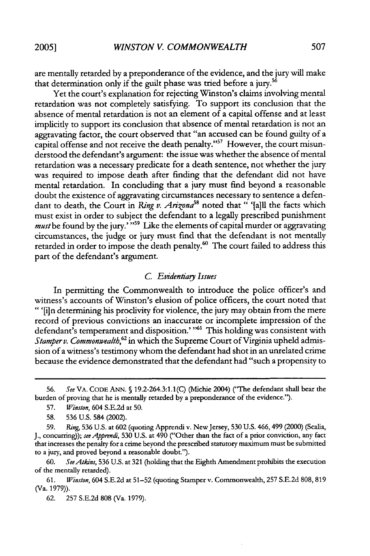are mentally retarded by a preponderance of the evidence, and the jury will make that determination only if the guilt phase was tried before a jury.<sup>56</sup>

Yet the court's explanation for rejecting Winston's claims involving mental retardation was not completely satisfying. To support its conclusion that the absence of mental retardation is not an element of a capital offense and at least implicitly to support its conclusion that absence of mental retardation is not an aggravating factor, the court observed that "an accused can be found guilty of a capital offense and not receive the death penalty."<sup>57</sup> However, the court misunderstood the defendant's argument: the issue was whether the absence of mental retardation was a necessary predicate for a death sentence, not whether the jury was required to impose death after finding that the defendant did not have mental retardation. In concluding that a jury must find beyond a reasonable doubt the existence of aggravating circumstances necessary to sentence a defendant to death, the Court in *Ring v. Arizona*<sup>58</sup> noted that " '[a]ll the facts which must exist in order to subject the defendant to a legally prescribed punishment must be found by the jury."<sup>559</sup> Like the elements of capital murder or aggravating circumstances, the judge or jury must find that the defendant is not mentally retarded in order to impose the death penalty.<sup>60</sup> The court failed to address this part of the defendant's argument.

#### *C Evidentiay* Issues

In permitting the Commonwealth to introduce the police officer's and witness's accounts of Winston's elusion of police officers, the court noted that "'[in determining his proclivity for violence, the jury may obtain from the mere record of previous convictions an inaccurate or incomplete impression of the defendant's temperament and disposition.' "<sup>61</sup> This holding was consistent with *Stamperv. Commonwealth,62* in which the Supreme Court of Virginia upheld admission of a witness's testimony whom the defendant had shot in an unrelated crime because the evidence demonstrated that the defendant had "such a propensity to

60. *SeeAtkins,* **536** U.S. at 321 (holding that the Eighth Amendment prohibits the execution of the mentally retarded).

**61.** *Winston,* 604 S.E.2d at 51-52 (quoting Stamper v. Commonwealth, 257 S.E.2d 808, **819** (Va. 1979)).

62. 257 S.E.2d 808 (Va. 1979).

<sup>56.</sup> *See* VA. CODE ANN. **§** 19.2-264.3:1.1 (C) (Michie 2004) ("The defendant shall bear the burden of proving that he is mentally retarded by a preponderance of the evidence.").

<sup>57.</sup> *Winston,* 604 S.E.2d at 50.

<sup>58.</sup> **536** U.S. 584 (2002).

<sup>59.</sup> Ring, **536** U.S. at **602** (quoting Apprendi v. New Jersey, **530** U.S. 466, 499 (2000) (Scalia, J., concurring)); see Apprendi, 530 U.S. at 490 ("Other than the fact of a prior conviction, any fact that increases the penalty for a crime beyond the prescribed statutory maximum must be submitted to a jury, and proved beyond a reasonable doubt.').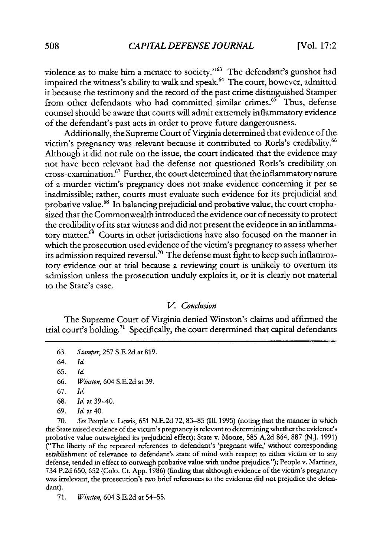violence as to make him a menace to society."<sup>63</sup> The defendant's gunshot had impaired the witness's ability to walk and speak.<sup>64</sup> The court, however, admitted it because the testimony and the record of the past crime distinguished Stamper from other defendants who had committed similar crimes.<sup>65</sup> Thus, defense counsel should be aware that courts will admit extremely inflammatory evidence of the defendant's past acts in order to prove future dangerousness.

Additionally, the Supreme Court of Virginia determined that evidence of the victim's pregnancy was relevant because it contributed to Rorls's credibility.<sup>66</sup> Although it did not rule on the issue, the court indicated that the evidence may not have been relevant had the defense not questioned Rorls's credibility on cross-examination." Further, the court determined that the inflammatory nature of a murder victim's pregnancy does not make evidence concerning it per se inadmissible; rather, courts must evaluate such evidence for its prejudicial and probative value.<sup>68</sup> In balancing prejudicial and probative value, the court emphasized that the Commonwealth introduced the evidence out of necessity to protect the credibility of its star witness and did not present the evidence in an inflammatory matter.<sup>69</sup> Courts in other jurisdictions have also focused on the manner in which the prosecution used evidence of the victim's pregnancy to assess whether its admission required reversal.<sup>70</sup> The defense must fight to keep such inflammatory evidence out at trial because a reviewing court is unlikely to overturn its admission unless the prosecution unduly exploits it, or it is clearly not material to the State's case.

#### V. Conclusion

The Supreme Court of Virginia denied Winston's claims and affirmed the trial court's holding.<sup>71</sup> Specifically, the court determined that capital defendants

64. *Id.*

65. *Id.*

66. *Winston,* 604 S.E.2d at 39.

67. *Id.*

- 68. *Id.* at 39-40.
- 69. *Id.* at 40.

70. *See* People v. Lewis, 651 N.E.2d 72, 83-85 **(Ill.** 1995) (noting that the manner in which the State raised evidence of the victim's pregnancyis relevant to determining whether the evidence's probative value outweighed its prejudicial effect); State v. Moore, 585 A.2d 864, 887 (N.J. 1991) ("The liberty of the repeated references to defendant's 'pregnant wife,' without corresponding establishment of relevance to defendant's state of mind with respect to either victim or to any defense, tended in effect to outweigh probative value with undue prejudice."); People v. Martinez, 734 P.2d 650, 652 (Colo. Ct. App. 1986) (finding that although evidence of the victim's pregnancy was irrelevant, the prosecution's two brief references to the evidence did not prejudice the defendant).

71. *Winston,* 604 S.E.2d at 54-55.

<sup>63.</sup> *Stamper,* 257 S.E.2d at 819.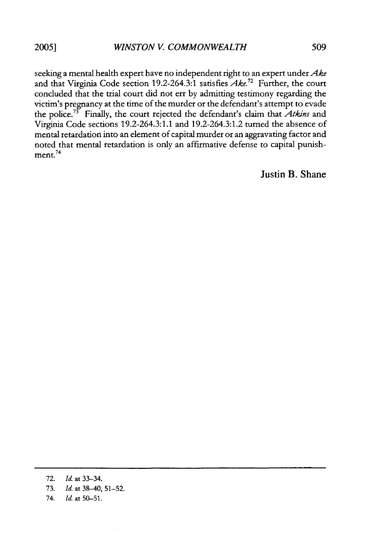seeking a mental health expert have no independent right to an expert under *Ake* and that Virginia Code section 19.2-264.3:1 satisfies  $Ake^{12}$  Further, the court concluded that the trial court did not err by admitting testimony regarding the victim's pregnancy at the time of the murder or the defendant's attempt to evade the police.<sup>73</sup> Finally, the court rejected the defendant's claim that *Atkins* and Virginia Code sections 19.2-264.3:1.1 and 19.2-264.3:1.2 turned the absence of mental retardation into an element of capital murder or an aggravating factor and noted that mental retardation is only an affirmative defense to capital punish- $\frac{24}{2}$  ment.<sup>74</sup>

Justin B. Shane

- 72. *Id.* at 33-34.
- 73. *Id.* at 38-40, 51-52.
- 74. *Id.* at 50-51.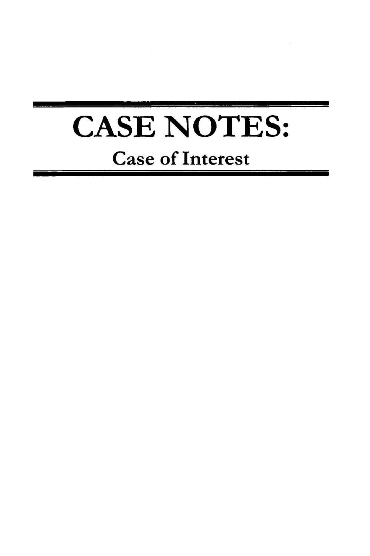# **CASE NOTES:** Case of Interest